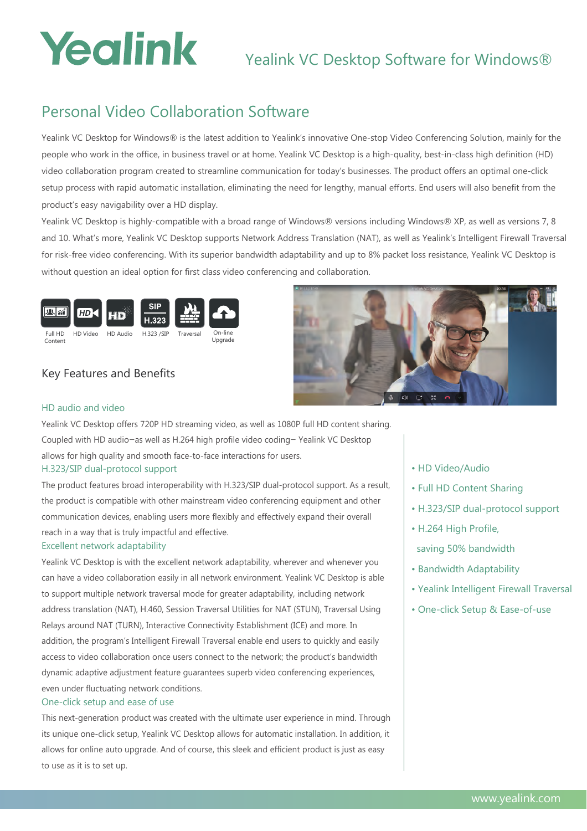# Yealink

## Yealink VC Desktop Software for Windows®

### Personal Video Collaboration Software

Yealink VC Desktop for Windows® is the latest addition to Yealink's innovative One-stop Video Conferencing Solution, mainly for the people who work in the office, in business travel or at home. Yealink VC Desktop is a high-quality, best-in-class high definition (HD) video collaboration program created to streamline communication for today's businesses. The product offers an optimal one-click setup process with rapid automatic installation, eliminating the need for lengthy, manual efforts. End users will also benefit from the product's easy navigability over a HD display.

Yealink VC Desktop is highly-compatible with a broad range of Windows® versions including Windows® XP, as well as versions 7, 8 and 10. What's more, Yealink VC Desktop supports Network Address Translation (NAT), as well as Yealink's Intelligent Firewall Traversal for risk-free video conferencing. With its superior bandwidth adaptability and up to 8% packet loss resistance, Yealink VC Desktop is without question an ideal option for first class video conferencing and collaboration.



#### Key Features and Benefits



#### HD audio and video

Yealink VC Desktop offers 720P HD streaming video, as well as 1080P full HD content sharing. Coupled with HD audio—as well as H.264 high profile video coding— Yealink VC Desktop allows for high quality and smooth face-to-face interactions for users.

#### H.323/SIP dual-protocol support

The product features broad interoperability with H.323/SIP dual-protocol support. As a result, the product is compatible with other mainstream video conferencing equipment and other communication devices, enabling users more flexibly and effectively expand their overall reach in a way that is truly impactful and effective.

#### Excellent network adaptability

Yealink VC Desktop is with the excellent network adaptability, wherever and whenever you can have a video collaboration easily in all network environment. Yealink VC Desktop is able to support multiple network traversal mode for greater adaptability, including network address translation (NAT), H.460, Session Traversal Utilities for NAT (STUN), Traversal Using Relays around NAT (TURN), Interactive Connectivity Establishment (ICE) and more. In addition, the program's Intelligent Firewall Traversal enable end users to quickly and easily access to video collaboration once users connect to the network; the product's bandwidth dynamic adaptive adjustment feature guarantees superb video conferencing experiences, even under fluctuating network conditions.

#### One-click setup and ease of use

This next-generation product was created with the ultimate user experience in mind. Through its unique one-click setup, Yealink VC Desktop allows for automatic installation. In addition, it allows for online auto upgrade. And of course, this sleek and efficient product is just as easy to use as it is to set up.

- HD Video/Audio
- Full HD Content Sharing
- H.323/SIP dual-protocol support
- H.264 High Profile,
- saving 50% bandwidth
- Bandwidth Adaptability
- Yealink Intelligent Firewall Traversal
- One-click Setup & Ease-of-use